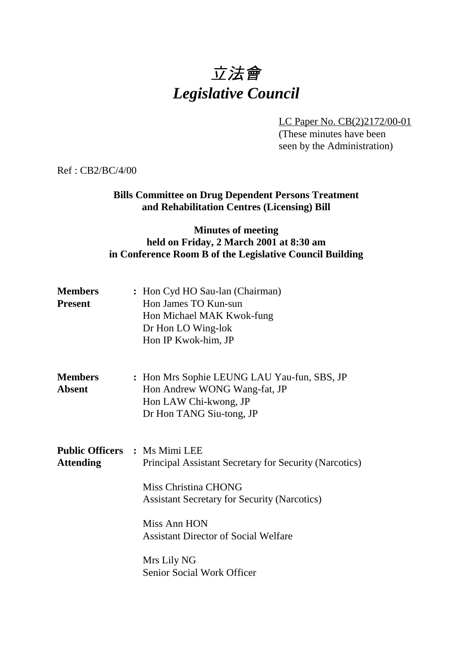# 立法會 *Legislative Council*

LC Paper No. CB(2)2172/00-01

(These minutes have been seen by the Administration)

Ref : CB2/BC/4/00

# **Bills Committee on Drug Dependent Persons Treatment and Rehabilitation Centres (Licensing) Bill**

#### **Minutes of meeting held on Friday, 2 March 2001 at 8:30 am in Conference Room B of the Legislative Council Building**

| <b>Members</b><br><b>Present</b> | : Hon Cyd HO Sau-lan (Chairman)<br>Hon James TO Kun-sun<br>Hon Michael MAK Kwok-fung<br>Dr Hon LO Wing-lok<br>Hon IP Kwok-him, JP                                                                                                                           |
|----------------------------------|-------------------------------------------------------------------------------------------------------------------------------------------------------------------------------------------------------------------------------------------------------------|
| Members<br><b>Absent</b>         | : Hon Mrs Sophie LEUNG LAU Yau-fun, SBS, JP<br>Hon Andrew WONG Wang-fat, JP<br>Hon LAW Chi-kwong, JP<br>Dr Hon TANG Siu-tong, JP                                                                                                                            |
| Attending                        | <b>Public Officers : Ms Mimi LEE</b><br>Principal Assistant Secretary for Security (Narcotics)<br>Miss Christina CHONG<br><b>Assistant Secretary for Security (Narcotics)</b><br>Miss Ann HON<br><b>Assistant Director of Social Welfare</b><br>Mrs Lily NG |
|                                  | Senior Social Work Officer                                                                                                                                                                                                                                  |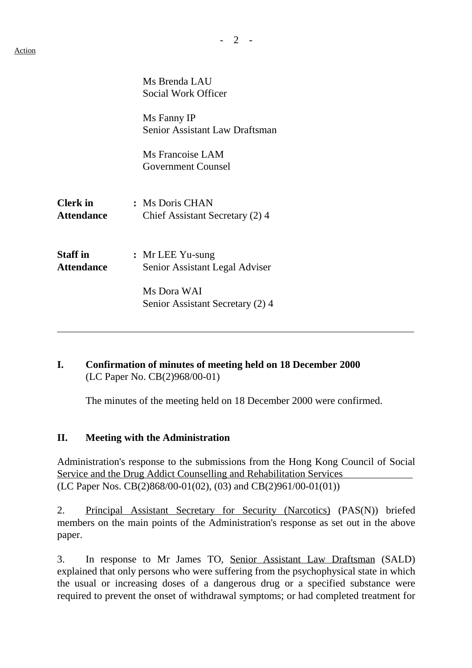|                                      | Ms Brenda LAU<br>Social Work Officer                 |
|--------------------------------------|------------------------------------------------------|
|                                      | Ms Fanny IP<br><b>Senior Assistant Law Draftsman</b> |
|                                      | Ms Francoise LAM<br><b>Government Counsel</b>        |
| <b>Clerk</b> in<br><b>Attendance</b> | : Ms Doris CHAN<br>Chief Assistant Secretary (2) 4   |
| <b>Staff</b> in<br><b>Attendance</b> | : Mr LEE Yu-sung<br>Senior Assistant Legal Adviser   |
|                                      | Ms Dora WAI<br>Senior Assistant Secretary (2) 4      |

### **I. Confirmation of minutes of meeting held on 18 December 2000** (LC Paper No. CB(2)968/00-01)

The minutes of the meeting held on 18 December 2000 were confirmed.

#### **II. Meeting with the Administration**

Administration's response to the submissions from the Hong Kong Council of Social Service and the Drug Addict Counselling and Rehabilitation Services (LC Paper Nos. CB(2)868/00-01(02), (03) and CB(2)961/00-01(01))

2. Principal Assistant Secretary for Security (Narcotics) (PAS(N)) briefed members on the main points of the Administration's response as set out in the above paper.

3. In response to Mr James TO, Senior Assistant Law Draftsman (SALD) explained that only persons who were suffering from the psychophysical state in which the usual or increasing doses of a dangerous drug or a specified substance were required to prevent the onset of withdrawal symptoms; or had completed treatment for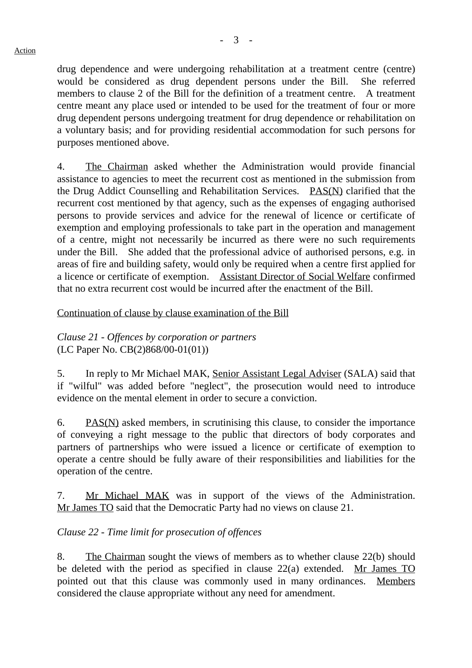drug dependence and were undergoing rehabilitation at a treatment centre (centre) would be considered as drug dependent persons under the Bill. She referred members to clause 2 of the Bill for the definition of a treatment centre. A treatment centre meant any place used or intended to be used for the treatment of four or more drug dependent persons undergoing treatment for drug dependence or rehabilitation on a voluntary basis; and for providing residential accommodation for such persons for purposes mentioned above.

4. The Chairman asked whether the Administration would provide financial assistance to agencies to meet the recurrent cost as mentioned in the submission from the Drug Addict Counselling and Rehabilitation Services. PAS(N) clarified that the recurrent cost mentioned by that agency, such as the expenses of engaging authorised persons to provide services and advice for the renewal of licence or certificate of exemption and employing professionals to take part in the operation and management of a centre, might not necessarily be incurred as there were no such requirements under the Bill. She added that the professional advice of authorised persons, e.g. in areas of fire and building safety, would only be required when a centre first applied for a licence or certificate of exemption. Assistant Director of Social Welfare confirmed that no extra recurrent cost would be incurred after the enactment of the Bill.

Continuation of clause by clause examination of the Bill

*Clause 21 - Offences by corporation or partners* (LC Paper No. CB(2)868/00-01(01))

5. In reply to Mr Michael MAK, Senior Assistant Legal Adviser (SALA) said that if "wilful" was added before "neglect", the prosecution would need to introduce evidence on the mental element in order to secure a conviction.

6. PAS(N) asked members, in scrutinising this clause, to consider the importance of conveying a right message to the public that directors of body corporates and partners of partnerships who were issued a licence or certificate of exemption to operate a centre should be fully aware of their responsibilities and liabilities for the operation of the centre.

7. Mr Michael MAK was in support of the views of the Administration. Mr James TO said that the Democratic Party had no views on clause 21.

#### *Clause 22 - Time limit for prosecution of offences*

8. The Chairman sought the views of members as to whether clause 22(b) should be deleted with the period as specified in clause 22(a) extended. Mr James TO pointed out that this clause was commonly used in many ordinances. Members considered the clause appropriate without any need for amendment.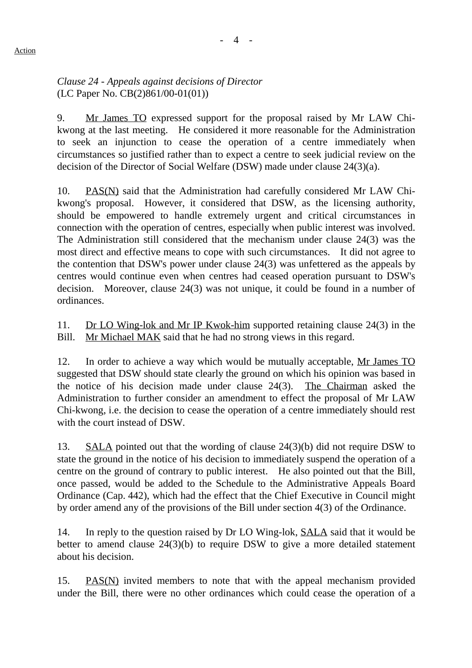# *Clause 24 - Appeals against decisions of Director* (LC Paper No. CB(2)861/00-01(01))

9. Mr James TO expressed support for the proposal raised by Mr LAW Chikwong at the last meeting. He considered it more reasonable for the Administration to seek an injunction to cease the operation of a centre immediately when circumstances so justified rather than to expect a centre to seek judicial review on the decision of the Director of Social Welfare (DSW) made under clause 24(3)(a).

10. PAS(N) said that the Administration had carefully considered Mr LAW Chikwong's proposal. However, it considered that DSW, as the licensing authority, should be empowered to handle extremely urgent and critical circumstances in connection with the operation of centres, especially when public interest was involved. The Administration still considered that the mechanism under clause 24(3) was the most direct and effective means to cope with such circumstances. It did not agree to the contention that DSW's power under clause 24(3) was unfettered as the appeals by centres would continue even when centres had ceased operation pursuant to DSW's decision. Moreover, clause 24(3) was not unique, it could be found in a number of ordinances.

11. Dr LO Wing-lok and Mr IP Kwok-him supported retaining clause 24(3) in the Bill. Mr Michael MAK said that he had no strong views in this regard.

12. In order to achieve a way which would be mutually acceptable, Mr James TO suggested that DSW should state clearly the ground on which his opinion was based in the notice of his decision made under clause 24(3). The Chairman asked the Administration to further consider an amendment to effect the proposal of Mr LAW Chi-kwong, i.e. the decision to cease the operation of a centre immediately should rest with the court instead of DSW.

13. SALA pointed out that the wording of clause 24(3)(b) did not require DSW to state the ground in the notice of his decision to immediately suspend the operation of a centre on the ground of contrary to public interest. He also pointed out that the Bill, once passed, would be added to the Schedule to the Administrative Appeals Board Ordinance (Cap. 442), which had the effect that the Chief Executive in Council might by order amend any of the provisions of the Bill under section 4(3) of the Ordinance.

14. In reply to the question raised by Dr LO Wing-lok, SALA said that it would be better to amend clause 24(3)(b) to require DSW to give a more detailed statement about his decision.

15. PAS(N) invited members to note that with the appeal mechanism provided under the Bill, there were no other ordinances which could cease the operation of a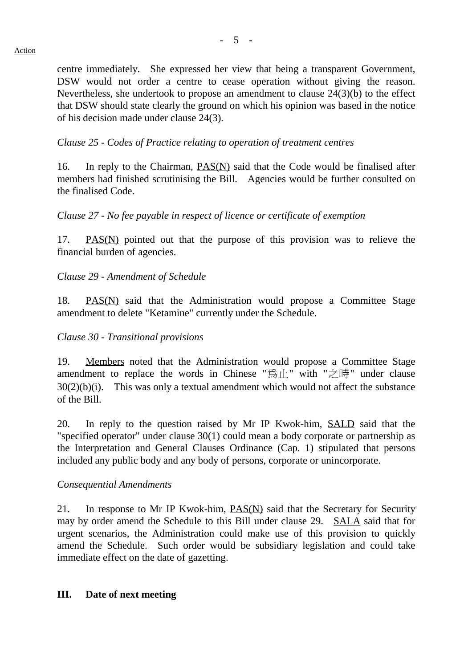centre immediately. She expressed her view that being a transparent Government, DSW would not order a centre to cease operation without giving the reason. Nevertheless, she undertook to propose an amendment to clause 24(3)(b) to the effect that DSW should state clearly the ground on which his opinion was based in the notice of his decision made under clause 24(3).

*Clause 25 - Codes of Practice relating to operation of treatment centres*

16. In reply to the Chairman, PAS(N) said that the Code would be finalised after members had finished scrutinising the Bill. Agencies would be further consulted on the finalised Code.

*Clause 27 - No fee payable in respect of licence or certificate of exemption*

17. PAS(N) pointed out that the purpose of this provision was to relieve the financial burden of agencies.

*Clause 29 - Amendment of Schedule*

18. PAS(N) said that the Administration would propose a Committee Stage amendment to delete "Ketamine" currently under the Schedule.

# *Clause 30 - Transitional provisions*

19. Members noted that the Administration would propose a Committee Stage amendment to replace the words in Chinese "為止" with "之時" under clause  $30(2)(b)(i)$ . This was only a textual amendment which would not affect the substance of the Bill.

20. In reply to the question raised by Mr IP Kwok-him, SALD said that the "specified operator" under clause 30(1) could mean a body corporate or partnership as the Interpretation and General Clauses Ordinance (Cap. 1) stipulated that persons included any public body and any body of persons, corporate or unincorporate.

#### *Consequential Amendments*

21. In response to Mr IP Kwok-him, PAS(N) said that the Secretary for Security may by order amend the Schedule to this Bill under clause 29. SALA said that for urgent scenarios, the Administration could make use of this provision to quickly amend the Schedule. Such order would be subsidiary legislation and could take immediate effect on the date of gazetting.

#### **III. Date of next meeting**